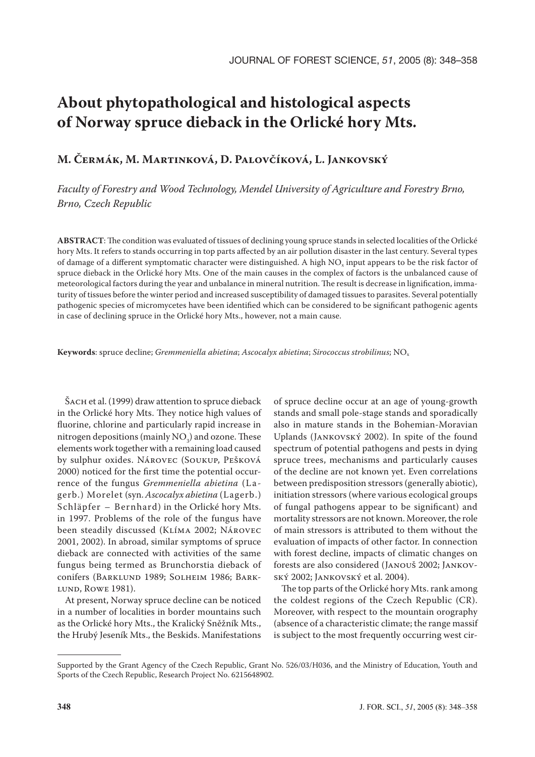# **About phytopathological and histological aspects of Norway spruce dieback in the Orlické hory Mts.**

# **M. ČERMÁK, M. MARTINKOVÁ, D. PALOVČÍKOVÁ, L. JANKOVSKÝ**

*Faculty of Forestry and Wood Technology, Mendel University of Agriculture and Forestry Brno, Brno, Czech Republic*

**ABSTRACT**: The condition was evaluated of tissues of declining young spruce stands in selected localities of the Orlické hory Mts. It refers to stands occurring in top parts affected by an air pollution disaster in the last century. Several types of damage of a different symptomatic character were distinguished. A high NO<sub>x</sub> input appears to be the risk factor of spruce dieback in the Orlické hory Mts. One of the main causes in the complex of factors is the unbalanced cause of meteorological factors during the year and unbalance in mineral nutrition. The result is decrease in lignification, immaturity of tissues before the winter period and increased susceptibility of damaged tissues to parasites. Several potentially pathogenic species of micromycetes have been identified which can be considered to be significant pathogenic agents in case of declining spruce in the Orlické hory Mts., however, not a main cause.

**Keywords**: spruce decline; *Gremmeniella abietina*; *Ascocalyx abietina*; *Sirococcus strobilinus*; NOx

ŠACH et al. (1999) draw attention to spruce dieback in the Orlické hory Mts. They notice high values of fluorine, chlorine and particularly rapid increase in nitrogen depositions (mainly  $\rm NO_3^{}$ ) and ozone. These elements work together with a remaining load caused by sulphur oxides. NÁROVEC (SOUKUP, PEŠKOVÁ 2000) noticed for the first time the potential occurrence of the fungus *Gremmeniella abietina* (Lagerb.) Morelet (syn. *Ascocalyx abietina* (Lagerb.) Schläpfer – Bernhard) in the Orlické hory Mts. in 1997. Problems of the role of the fungus have been steadily discussed (KLÍMA 2002; NÁROVEC 2001, 2002). In abroad, similar symptoms of spruce dieback are connected with activities of the same fungus being termed as Brunchorstia dieback of conifers (BARKLUND 1989; SOLHEIM 1986; BARK-LUND, ROWE 1981).

At present, Norway spruce decline can be noticed in a number of localities in border mountains such as the Orlické hory Mts., the Kralický Sněžník Mts., the Hrubý Jeseník Mts., the Beskids. Manifestations

of spruce decline occur at an age of young-growth stands and small pole-stage stands and sporadically also in mature stands in the Bohemian-Moravian Uplands (JANKOVSKÝ 2002). In spite of the found spectrum of potential pathogens and pests in dying spruce trees, mechanisms and particularly causes of the decline are not known yet. Even correlations between predisposition stressors (generally abiotic), initiation stressors (where various ecological groups of fungal pathogens appear to be significant) and mortality stressors are not known. Moreover, the role of main stressors is attributed to them without the evaluation of impacts of other factor. In connection with forest decline, impacts of climatic changes on forests are also considered (JANOUŠ 2002; JANKOV-SKÝ 2002; JANKOVSKÝ et al. 2004).

The top parts of the Orlické hory Mts. rank among the coldest regions of the Czech Republic (CR). Moreover, with respect to the mountain orography (absence of a characteristic climate; the range massif is subject to the most frequently occurring west cir-

Supported by the Grant Agency of the Czech Republic, Grant No. 526/03/H036, and the Ministry of Education, Youth and Sports of the Czech Republic, Research Project No. 6215648902.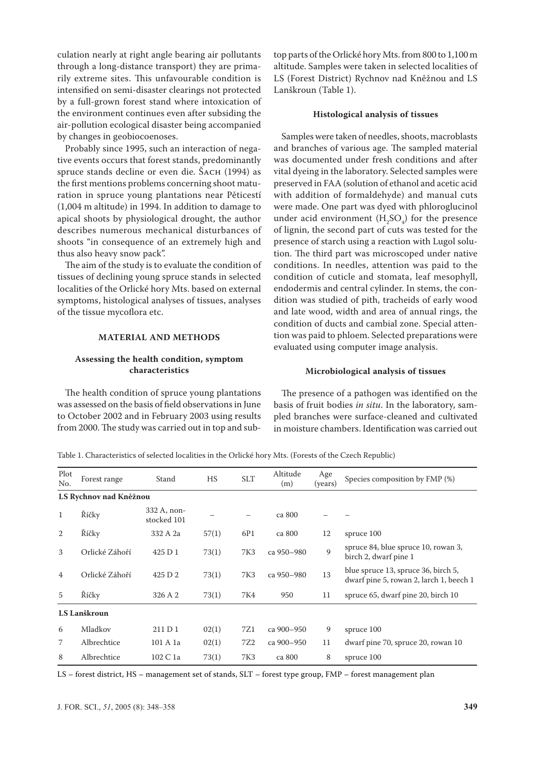culation nearly at right angle bearing air pollutants through a long-distance transport) they are primarily extreme sites. This unfavourable condition is intensified on semi-disaster clearings not protected by a full-grown forest stand where intoxication of the environment continues even after subsiding the air-pollution ecological disaster being accompanied by changes in geobiocoenoses.

Probably since 1995, such an interaction of negative events occurs that forest stands, predominantly spruce stands decline or even die. ŠACH (1994) as the first mentions problems concerning shoot maturation in spruce young plantations near Pěticestí (1,004 m altitude) in 1994. In addition to damage to apical shoots by physiological drought, the author describes numerous mechanical disturbances of shoots "in consequence of an extremely high and thus also heavy snow pack".

The aim of the study is to evaluate the condition of tissues of declining young spruce stands in selected localities of the Orlické hory Mts. based on external symptoms, histological analyses of tissues, analyses of the tissue mycoflora etc.

#### **MATERIAL AND METHODS**

## **Assessing the health condition, symptom characteristics**

The health condition of spruce young plantations was assessed on the basis of field observations in June to October 2002 and in February 2003 using results from 2000. The study was carried out in top and subtop parts of the Orlické hory Mts. from 800 to 1,100 m altitude. Samples were taken in selected localities of LS (Forest District) Rychnov nad Kněžnou and LS Lanškroun (Table 1).

#### **Histological analysis of tissues**

Samples were taken of needles, shoots, macroblasts and branches of various age. The sampled material was documented under fresh conditions and after vital dyeing in the laboratory. Selected samples were preserved in FAA (solution of ethanol and acetic acid with addition of formaldehyde) and manual cuts were made. One part was dyed with phloroglucinol under acid environment  $(H_2SO_4)$  for the presence of lignin, the second part of cuts was tested for the presence of starch using a reaction with Lugol solution. The third part was microscoped under native conditions. In needles, attention was paid to the condition of cuticle and stomata, leaf mesophyll, endodermis and central cylinder. In stems, the condition was studied of pith, tracheids of early wood and late wood, width and area of annual rings, the condition of ducts and cambial zone. Special attention was paid to phloem. Selected preparations were evaluated using computer image analysis.

#### **Microbiological analysis of tissues**

The presence of a pathogen was identified on the basis of fruit bodies *in situ*. In the laboratory, sampled branches were surface-cleaned and cultivated in moisture chambers. Identification was carried out

| Plot<br>No.         | Forest range           | Stand                      | <b>HS</b> | <b>SLT</b>      | Altitude<br>(m) | Age<br>(years) | Species composition by FMP (%)                                                 |  |
|---------------------|------------------------|----------------------------|-----------|-----------------|-----------------|----------------|--------------------------------------------------------------------------------|--|
|                     | LS Rychnov nad Kněžnou |                            |           |                 |                 |                |                                                                                |  |
| $\mathbf{1}$        | Říčky                  | 332 A, non-<br>stocked 101 |           |                 | ca 800          |                |                                                                                |  |
| 2                   | Říčky                  | 332 A 2a                   | 57(1)     | 6P1             | ca 800          | 12             | spruce 100                                                                     |  |
| 3                   | Orlické Záhoří         | 425 D 1                    | 73(1)     | 7K3             | ca 950-980      | 9              | spruce 84, blue spruce 10, rowan 3,<br>birch 2, dwarf pine 1                   |  |
| 4                   | Orlické Záhoří         | 425 D 2                    | 73(1)     | <b>7K3</b>      | ca 950-980      | 13             | blue spruce 13, spruce 36, birch 5,<br>dwarf pine 5, rowan 2, larch 1, beech 1 |  |
| 5                   | Říčky                  | 326 A 2                    | 73(1)     | 7K4             | 950             | 11             | spruce 65, dwarf pine 20, birch 10                                             |  |
| <b>LS Lanškroun</b> |                        |                            |           |                 |                 |                |                                                                                |  |
| 6                   | Mladkov                | 211 D 1                    | 02(1)     | 7Z1             | ca 900-950      | 9              | spruce 100                                                                     |  |
| 7                   | Albrechtice            | 101 A 1a                   | 02(1)     | 7Z <sub>2</sub> | ca 900-950      | 11             | dwarf pine 70, spruce 20, rowan 10                                             |  |
| 8                   | Albrechtice            | 102 C 1a                   | 73(1)     | 7K3             | ca 800          | 8              | spruce 100                                                                     |  |

Table 1. Characteristics of selected localities in the Orlické hory Mts. (Forests of the Czech Republic)

LS – forest district, HS – management set of stands, SLT – forest type group, FMP – forest management plan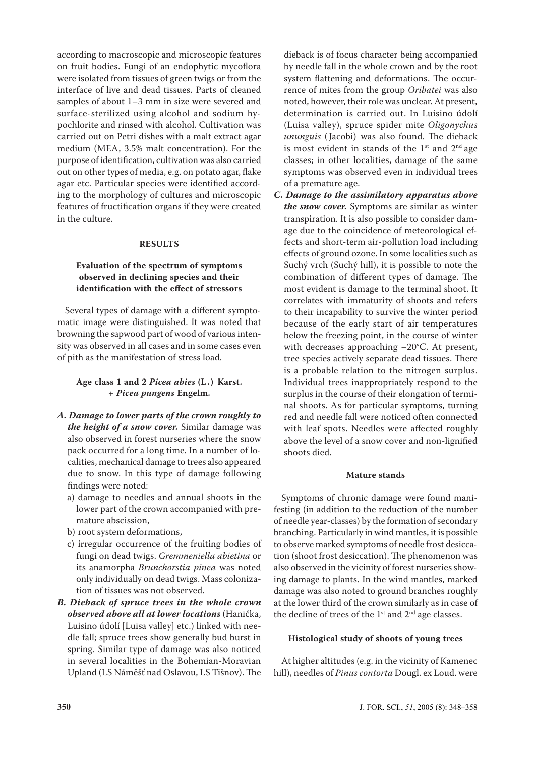according to macroscopic and microscopic features on fruit bodies. Fungi of an endophytic mycoflora were isolated from tissues of green twigs or from the interface of live and dead tissues. Parts of cleaned samples of about 1–3 mm in size were severed and surface-sterilized using alcohol and sodium hypochlorite and rinsed with alcohol. Cultivation was carried out on Petri dishes with a malt extract agar medium (MEA, 3.5% malt concentration). For the purpose of identification, cultivation was also carried out on other types of media, e.g. on potato agar, flake agar etc. Particular species were identified according to the morphology of cultures and microscopic features of fructification organs if they were created in the culture.

#### **RESULTS**

# **Evaluation of the spectrum of symptoms observed in declining species and their identification with the effect of stressors**

Several types of damage with a different symptomatic image were distinguished. It was noted that browning the sapwood part of wood of various intensity was observed in all cases and in some cases even of pith as the manifestation of stress load.

# **Age class 1 and 2** *Picea abies* **(L .) Karst.** *+ Picea pungens* **Engelm.**

- *A. Damage to lower parts of the crown roughly to the height of a snow cover.* Similar damage was also observed in forest nurseries where the snow pack occurred for a long time. In a number of localities, mechanical damage to trees also appeared due to snow. In this type of damage following findings were noted:
	- a) damage to needles and annual shoots in the lower part of the crown accompanied with premature abscission,
	- b) root system deformations,
	- c) irregular occurrence of the fruiting bodies of fungi on dead twigs. *Gremmeniella abietina* or its anamorpha *Brunchorstia pinea* was noted only individually on dead twigs. Mass colonization of tissues was not observed.
- *B. Dieback of spruce trees in the whole crown observed above all at lower locations* (Hanička, Luisino údolí [Luisa valley] etc.) linked with needle fall; spruce trees show generally bud burst in spring. Similar type of damage was also noticed in several localities in the Bohemian-Moravian Upland (LS Náměšť nad Oslavou, LS Tišnov). The

dieback is of focus character being accompanied by needle fall in the whole crown and by the root system flattening and deformations. The occurrence of mites from the group *Oribatei* was also noted, however, their role was unclear. At present, determination is carried out. In Luisino údolí (Luisa valley), spruce spider mite *Oligonychus ununguis* ( Jacobi) was also found. The dieback is most evident in stands of the  $1<sup>st</sup>$  and  $2<sup>nd</sup>$  age classes; in other localities, damage of the same symptoms was observed even in individual trees of a premature age.

*C. Damage to the assimilatory apparatus above the snow cover.* Symptoms are similar as winter transpiration. It is also possible to consider damage due to the coincidence of meteorological effects and short-term air-pollution load including effects of ground ozone. In some localities such as Suchý vrch (Suchý hill), it is possible to note the combination of different types of damage. The most evident is damage to the terminal shoot. It correlates with immaturity of shoots and refers to their incapability to survive the winter period because of the early start of air temperatures below the freezing point, in the course of winter with decreases approaching –20°C. At present, tree species actively separate dead tissues. There is a probable relation to the nitrogen surplus. Individual trees inappropriately respond to the surplus in the course of their elongation of terminal shoots. As for particular symptoms, turning red and needle fall were noticed often connected with leaf spots. Needles were affected roughly above the level of a snow cover and non-lignified shoots died.

#### **Mature stands**

Symptoms of chronic damage were found manifesting (in addition to the reduction of the number of needle year-classes) by the formation of secondary branching. Particularly in wind mantles, it is possible to observe marked symptoms of needle frost desiccation (shoot frost desiccation). The phenomenon was also observed in the vicinity of forest nurseries showing damage to plants. In the wind mantles, marked damage was also noted to ground branches roughly at the lower third of the crown similarly as in case of the decline of trees of the 1<sup>st</sup> and 2<sup>nd</sup> age classes.

#### **Histological study of shoots of young trees**

At higher altitudes (e.g. in the vicinity of Kamenec hill), needles of *Pinus contorta* Dougl. ex Loud. were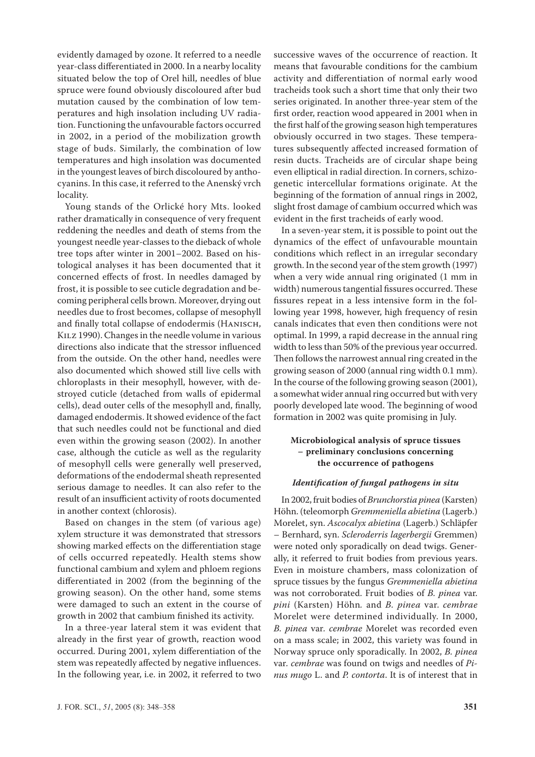evidently damaged by ozone. It referred to a needle year-class differentiated in 2000. In a nearby locality situated below the top of Orel hill, needles of blue spruce were found obviously discoloured after bud mutation caused by the combination of low temperatures and high insolation including UV radiation. Functioning the unfavourable factors occurred in 2002, in a period of the mobilization growth stage of buds. Similarly, the combination of low temperatures and high insolation was documented in the youngest leaves of birch discoloured by anthocyanins. In this case, it referred to the Anenský vrch locality.

Young stands of the Orlické hory Mts. looked rather dramatically in consequence of very frequent reddening the needles and death of stems from the youngest needle year-classes to the dieback of whole tree tops after winter in 2001–2002. Based on histological analyses it has been documented that it concerned effects of frost. In needles damaged by frost, it is possible to see cuticle degradation and becoming peripheral cells brown. Moreover, drying out needles due to frost becomes, collapse of mesophyll and finally total collapse of endodermis (HANISCH, KILZ 1990). Changes in the needle volume in various directions also indicate that the stressor influenced from the outside. On the other hand, needles were also documented which showed still live cells with chloroplasts in their mesophyll, however, with destroyed cuticle (detached from walls of epidermal cells), dead outer cells of the mesophyll and, finally, damaged endodermis. It showed evidence of the fact that such needles could not be functional and died even within the growing season (2002). In another case, although the cuticle as well as the regularity of mesophyll cells were generally well preserved, deformations of the endodermal sheath represented serious damage to needles. It can also refer to the result of an insufficient activity of roots documented in another context (chlorosis).

Based on changes in the stem (of various age) xylem structure it was demonstrated that stressors showing marked effects on the differentiation stage of cells occurred repeatedly. Health stems show functional cambium and xylem and phloem regions differentiated in 2002 (from the beginning of the growing season). On the other hand, some stems were damaged to such an extent in the course of growth in 2002 that cambium finished its activity.

In a three-year lateral stem it was evident that already in the first year of growth, reaction wood occurred. During 2001, xylem differentiation of the stem was repeatedly affected by negative influences. In the following year, i.e. in 2002, it referred to two

successive waves of the occurrence of reaction. It means that favourable conditions for the cambium activity and differentiation of normal early wood tracheids took such a short time that only their two series originated. In another three-year stem of the first order, reaction wood appeared in 2001 when in the first half of the growing season high temperatures obviously occurred in two stages. These temperatures subsequently affected increased formation of resin ducts. Tracheids are of circular shape being even elliptical in radial direction. In corners, schizogenetic intercellular formations originate. At the beginning of the formation of annual rings in 2002, slight frost damage of cambium occurred which was evident in the first tracheids of early wood.

In a seven-year stem, it is possible to point out the dynamics of the effect of unfavourable mountain conditions which reflect in an irregular secondary growth. In the second year of the stem growth (1997) when a very wide annual ring originated (1 mm in width) numerous tangential fissures occurred. These fissures repeat in a less intensive form in the following year 1998, however, high frequency of resin canals indicates that even then conditions were not optimal. In 1999, a rapid decrease in the annual ring width to less than 50% of the previous year occurred. Then follows the narrowest annual ring created in the growing season of 2000 (annual ring width 0.1 mm). In the course of the following growing season (2001), a somewhat wider annual ring occurred but with very poorly developed late wood. The beginning of wood formation in 2002 was quite promising in July.

# **Microbiological analysis of spruce tissues – preliminary conclusions concerning the occurrence of pathogens**

#### *Identification of fungal pathogens in situ*

In 2002, fruit bodies of *Brunchorstia pinea* (Karsten) Höhn. (teleomorph *Gremmeniella abietina* (Lagerb.) Morelet, syn. *Ascocalyx abietina* (Lagerb.) Schläpfer – Bernhard, syn. *Scleroderris lagerbergii* Gremmen) were noted only sporadically on dead twigs. Generally, it referred to fruit bodies from previous years. Even in moisture chambers, mass colonization of spruce tissues by the fungus *Gremmeniella abietina*  was not corroborated. Fruit bodies of *B. pinea* var. *pini* (Karsten) Höhn*.* and *B. pinea* var. *cembrae* Morelet were determined individually. In 2000, *B. pinea* var*. cembrae* Morelet was recorded even on a mass scale; in 2002, this variety was found in Norway spruce only sporadically. In 2002, *B. pinea* var*. cembrae* was found on twigs and needles of *Pinus mugo* L. and *P. contorta*. It is of interest that in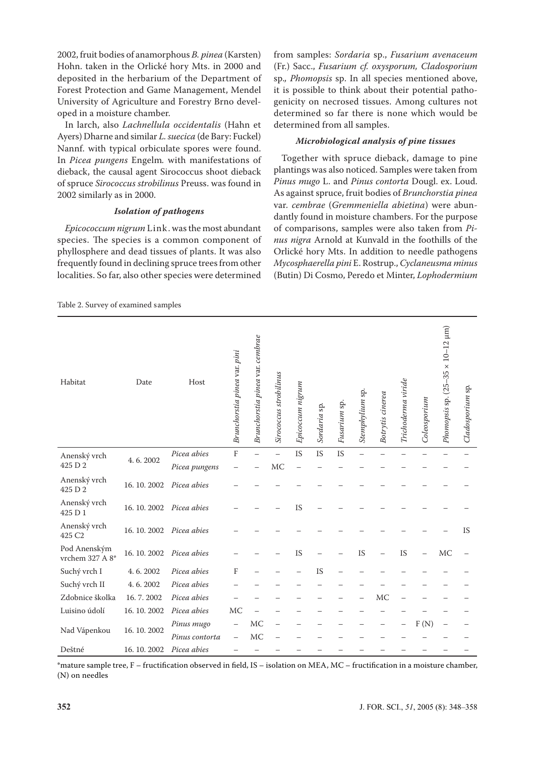2002, fruit bodies of anamorphous *B. pinea* (Karsten) Hohn. taken in the Orlické hory Mts. in 2000 and deposited in the herbarium of the Department of Forest Protection and Game Management, Mendel University of Agriculture and Forestry Brno developed in a moisture chamber.

In larch, also *Lachnellula occidentalis* (Hahn et Ayers) Dharne and similar *L. suecica* (de Bary: Fuckel) Nannf. with typical orbiculate spores were found. In *Picea pungens* Engelm*.* with manifestations of dieback, the causal agent Sirococcus shoot dieback of spruce *Sirococcus strobilinus* Preuss. was found in 2002 similarly as in 2000.

## *Isolation of pathogens*

*Epicococcum nigrum* Link. was the most abundant species. The species is a common component of phyllosphere and dead tissues of plants. It was also frequently found in declining spruce trees from other localities. So far, also other species were determined

Table 2. Survey of examined samples

from samples: *Sordaria* sp., *Fusarium avenaceum*  (Fr.) Sacc., *Fusarium cf. oxysporum, Cladosporium*  sp.*, Phomopsis* sp. In all species mentioned above, it is possible to think about their potential pathogenicity on necrosed tissues. Among cultures not determined so far there is none which would be determined from all samples.

#### *Microbiological analysis of pine tissues*

Together with spruce dieback, damage to pine plantings was also noticed. Samples were taken from *Pinus mugo* L. and *Pinus contorta* Dougl. ex. Loud. As against spruce, fruit bodies of *Brunchorstia pinea*  var*. cembrae* (*Gremmeniella abietina*) were abundantly found in moisture chambers. For the purpose of comparisons, samples were also taken from *Pinus nigra* Arnold at Kunvald in the foothills of the Orlické hory Mts. In addition to needle pathogens *Mycosphaerella pini* E. Rostrup., *Cyclaneusma minus* (Butin) Di Cosmo, Peredo et Minter, *Lophodermium* 

| Habitat                            | Date       | Host           | Brunchorstia pinea var. pini | Brunchorstia pinea var. cembrae | Sirococcus strobilinus | Ерісоссит підтит | Sordaria sp. | Fusarium sp. | Stemphylium sp. | Botrytis cinerea | Trichoderma viride | $\mathit{Cole}$ osporium | Phomopsis sp. (25-35 × 10-12 µm) | Cladosporium sp. |
|------------------------------------|------------|----------------|------------------------------|---------------------------------|------------------------|------------------|--------------|--------------|-----------------|------------------|--------------------|--------------------------|----------------------------------|------------------|
| Anenský vrch                       | 4.6.2002   | Picea abies    | $\boldsymbol{\mathrm{F}}$    |                                 |                        | <b>IS</b>        | IS           | <b>IS</b>    |                 |                  |                    |                          |                                  |                  |
| 425 D 2                            |            | Picea pungens  |                              |                                 | MC                     |                  |              |              |                 |                  |                    |                          |                                  |                  |
| Anenský vrch<br>425 D 2            | 16.10.2002 | Picea abies    |                              |                                 |                        |                  |              |              |                 |                  |                    |                          |                                  |                  |
| Anenský vrch<br>425 D 1            | 16.10.2002 | Picea abies    |                              |                                 |                        | IS               |              |              |                 |                  |                    |                          |                                  |                  |
| Anenský vrch<br>425 C <sub>2</sub> | 16.10.2002 | Picea abies    |                              |                                 |                        |                  |              |              |                 |                  |                    |                          |                                  | IS               |
| Pod Anenským<br>vrchem 327 A 8*    | 16.10.2002 | Picea abies    |                              |                                 |                        | IS               |              |              | <b>IS</b>       |                  | IS                 |                          | <b>MC</b>                        |                  |
| Suchý vrch I                       | 4.6.2002   | Picea abies    | F                            |                                 |                        |                  | IS           |              |                 |                  |                    |                          |                                  |                  |
| Suchý vrch II                      | 4.6.2002   | Picea abies    |                              |                                 |                        |                  |              |              |                 |                  |                    |                          |                                  |                  |
| Zdobnice školka                    | 16.7.2002  | Picea abies    |                              |                                 |                        |                  |              |              |                 | MC               |                    |                          |                                  |                  |
| Luisino údolí                      | 16.10.2002 | Picea abies    | MC                           |                                 |                        |                  |              |              |                 |                  |                    |                          |                                  |                  |
|                                    | 16.10.2002 | Pinus mugo     |                              | MC                              |                        |                  |              |              |                 |                  |                    | F(N)                     |                                  |                  |
| Nad Vápenkou                       |            | Pinus contorta |                              | MC                              |                        |                  |              |              |                 |                  |                    |                          |                                  |                  |
| Deštné                             | 16.10.2002 | Picea abies    |                              |                                 |                        |                  |              |              |                 |                  |                    |                          |                                  |                  |

\*mature sample tree, F – fructification observed in field, IS – isolation on MEA, MC – fructification in a moisture chamber, (N) on needles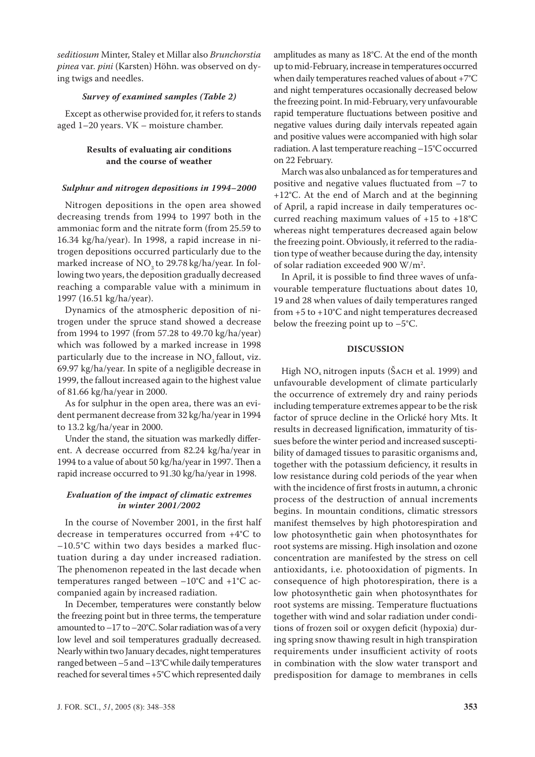*seditiosum* Minter, Staley et Millar also *Brunchorstia pinea* var*. pini* (Karsten) Höhn. was observed on dying twigs and needles.

#### *Survey of examined samples (Table 2)*

Except as otherwise provided for, it refers to stands aged 1–20 years. VK – moisture chamber.

## **Results of evaluating air conditions and the course of weather**

#### *Sulphur and nitrogen depositions in 1994–2000*

Nitrogen depositions in the open area showed decreasing trends from 1994 to 1997 both in the ammoniac form and the nitrate form (from 25.59 to 16.34 kg/ha/year). In 1998, a rapid increase in nitrogen depositions occurred particularly due to the marked increase of NO<sub>2</sub> to 29.78 kg/ha/year. In following two years, the deposition gradually decreased reaching a comparable value with a minimum in 1997 (16.51 kg/ha/year).

Dynamics of the atmospheric deposition of nitrogen under the spruce stand showed a decrease from 1994 to 1997 (from 57.28 to 49.70 kg/ha/year) which was followed by a marked increase in 1998 particularly due to the increase in NO<sub>3</sub> fallout, viz. 69.97 kg/ha/year. In spite of a negligible decrease in 1999, the fallout increased again to the highest value of 81.66 kg/ha/year in 2000.

As for sulphur in the open area, there was an evident permanent decrease from 32 kg/ha/year in 1994 to 13.2 kg/ha/year in 2000.

Under the stand, the situation was markedly different. A decrease occurred from 82.24 kg/ha/year in 1994 to a value of about 50 kg/ha/year in 1997. Then a rapid increase occurred to 91.30 kg/ha/year in 1998.

#### *Evaluation of the impact of climatic extremes in winter 2001/2002*

In the course of November 2001, in the first half decrease in temperatures occurred from +4°C to –10.5°C within two days besides a marked fluctuation during a day under increased radiation. The phenomenon repeated in the last decade when temperatures ranged between –10°C and +1°C accompanied again by increased radiation.

In December, temperatures were constantly below the freezing point but in three terms, the temperature amounted to –17 to –20°C. Solar radiation was of a very low level and soil temperatures gradually decreased. Nearly within two January decades, night temperatures ranged between –5 and –13°C while daily temperatures reached for several times +5°C which represented daily amplitudes as many as 18°C. At the end of the month up to mid-February, increase in temperatures occurred when daily temperatures reached values of about +7°C and night temperatures occasionally decreased below the freezing point. In mid-February, very unfavourable rapid temperature fluctuations between positive and negative values during daily intervals repeated again and positive values were accompanied with high solar radiation. A last temperature reaching –15°C occurred on 22 February.

March was also unbalanced as for temperatures and positive and negative values fluctuated from –7 to +12°C. At the end of March and at the beginning of April, a rapid increase in daily temperatures occurred reaching maximum values of +15 to +18°C whereas night temperatures decreased again below the freezing point. Obviously, it referred to the radiation type of weather because during the day, intensity of solar radiation exceeded 900 W/m2 .

In April, it is possible to find three waves of unfavourable temperature fluctuations about dates 10, 19 and 28 when values of daily temperatures ranged from +5 to +10°C and night temperatures decreased below the freezing point up to  $-5^{\circ}$ C.

#### **DISCUSSION**

High NO<sub>x</sub> nitrogen inputs (ŠACH et al. 1999) and unfavourable development of climate particularly the occurrence of extremely dry and rainy periods including temperature extremes appear to be the risk factor of spruce decline in the Orlické hory Mts. It results in decreased lignification, immaturity of tissues before the winter period and increased susceptibility of damaged tissues to parasitic organisms and, together with the potassium deficiency, it results in low resistance during cold periods of the year when with the incidence of first frosts in autumn, a chronic process of the destruction of annual increments begins. In mountain conditions, climatic stressors manifest themselves by high photorespiration and low photosynthetic gain when photosynthates for root systems are missing. High insolation and ozone concentration are manifested by the stress on cell antioxidants, i.e. photooxidation of pigments. In consequence of high photorespiration, there is a low photosynthetic gain when photosynthates for root systems are missing. Temperature fluctuations together with wind and solar radiation under conditions of frozen soil or oxygen deficit (hypoxia) during spring snow thawing result in high transpiration requirements under insufficient activity of roots in combination with the slow water transport and predisposition for damage to membranes in cells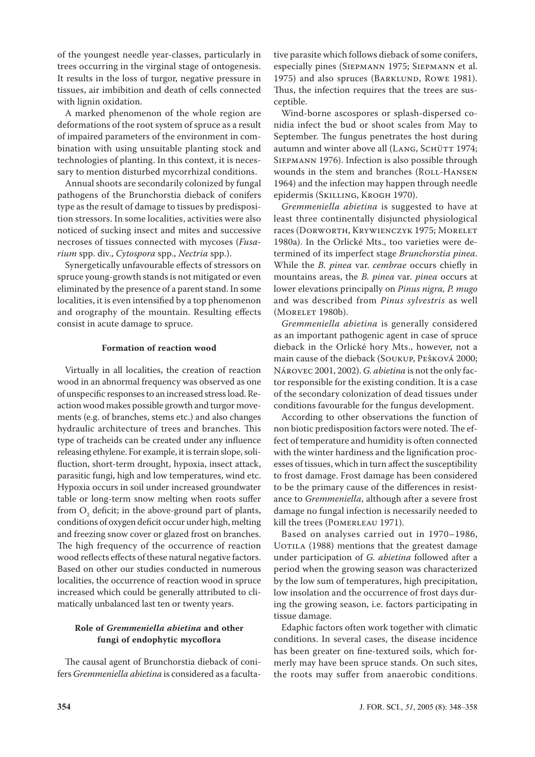of the youngest needle year-classes, particularly in trees occurring in the virginal stage of ontogenesis. It results in the loss of turgor, negative pressure in tissues, air imbibition and death of cells connected with lignin oxidation.

A marked phenomenon of the whole region are deformations of the root system of spruce as a result of impaired parameters of the environment in combination with using unsuitable planting stock and technologies of planting. In this context, it is necessary to mention disturbed mycorrhizal conditions.

Annual shoots are secondarily colonized by fungal pathogens of the Brunchorstia dieback of conifers type as the result of damage to tissues by predisposition stressors. In some localities, activities were also noticed of sucking insect and mites and successive necroses of tissues connected with mycoses (*Fusarium* spp. div., *Cytospora* spp., *Nectria* spp.).

Synergetically unfavourable effects of stressors on spruce young-growth stands is not mitigated or even eliminated by the presence of a parent stand. In some localities, it is even intensified by a top phenomenon and orography of the mountain. Resulting effects consist in acute damage to spruce.

#### **Formation of reaction wood**

Virtually in all localities, the creation of reaction wood in an abnormal frequency was observed as one of unspecific responses to an increased stress load. Reaction wood makes possible growth and turgor movements (e.g. of branches, stems etc.) and also changes hydraulic architecture of trees and branches. This type of tracheids can be created under any influence releasing ethylene. For example, it is terrain slope, solifluction, short-term drought, hypoxia, insect attack, parasitic fungi, high and low temperatures, wind etc. Hypoxia occurs in soil under increased groundwater table or long-term snow melting when roots suffer from  $\mathrm{O}_2$  deficit; in the above-ground part of plants, conditions of oxygen deficit occur under high, melting and freezing snow cover or glazed frost on branches. The high frequency of the occurrence of reaction wood reflects effects of these natural negative factors. Based on other our studies conducted in numerous localities, the occurrence of reaction wood in spruce increased which could be generally attributed to climatically unbalanced last ten or twenty years.

## **Role of** *Gremmeniella abietina* **and other fungi of endophytic mycoflora**

The causal agent of Brunchorstia dieback of conifers *Gremmeniella abietina* is considered as a faculta-

tive parasite which follows dieback of some conifers, especially pines (SIEPMANN 1975; SIEPMANN et al. 1975) and also spruces (BARKLUND, ROWE 1981). Thus, the infection requires that the trees are susceptible.

Wind-borne ascospores or splash-dispersed conidia infect the bud or shoot scales from May to September. The fungus penetrates the host during autumn and winter above all (LANG, SCHÜTT 1974; SIEPMANN 1976). Infection is also possible through wounds in the stem and branches (ROLL-HANSEN 1964) and the infection may happen through needle epidermis (SKILLING, KROGH 1970).

*Gremmeniella abietina* is suggested to have at least three continentally disjuncted physiological races (DORWORTH, KRYWIENCZYK 1975; MORELET 1980a). In the Orlické Mts., too varieties were determined of its imperfect stage *Brunchorstia pinea*. While the *B. pinea* var. *cembrae* occurs chiefly in mountains areas, the *B. pinea* var*. pinea* occurs at lower elevations principally on *Pinus nigra, P. mugo* and was described from *Pinus sylvestris* as well (MORELET 1980b).

*Gremmeniella abietina* is generally considered as an important pathogenic agent in case of spruce dieback in the Orlické hory Mts., however, not a main cause of the dieback (SOUKUP, PEŠKOVÁ 2000; NÁROVEC 2001, 2002). *G. abietina* is not the only factor responsible for the existing condition. It is a case of the secondary colonization of dead tissues under conditions favourable for the fungus development.

According to other observations the function of non biotic predisposition factors were noted. The effect of temperature and humidity is often connected with the winter hardiness and the lignification processes of tissues, which in turn affect the susceptibility to frost damage. Frost damage has been considered to be the primary cause of the differences in resistance to *Gremmeniella*, although after a severe frost damage no fungal infection is necessarily needed to kill the trees (POMERLEAU 1971).

Based on analyses carried out in 1970–1986, UOTILA (1988) mentions that the greatest damage under participation of *G. abietina* followed after a period when the growing season was characterized by the low sum of temperatures, high precipitation, low insolation and the occurrence of frost days during the growing season, i.e. factors participating in tissue damage.

Edaphic factors often work together with climatic conditions. In several cases, the disease incidence has been greater on fine-textured soils, which formerly may have been spruce stands. On such sites, the roots may suffer from anaerobic conditions.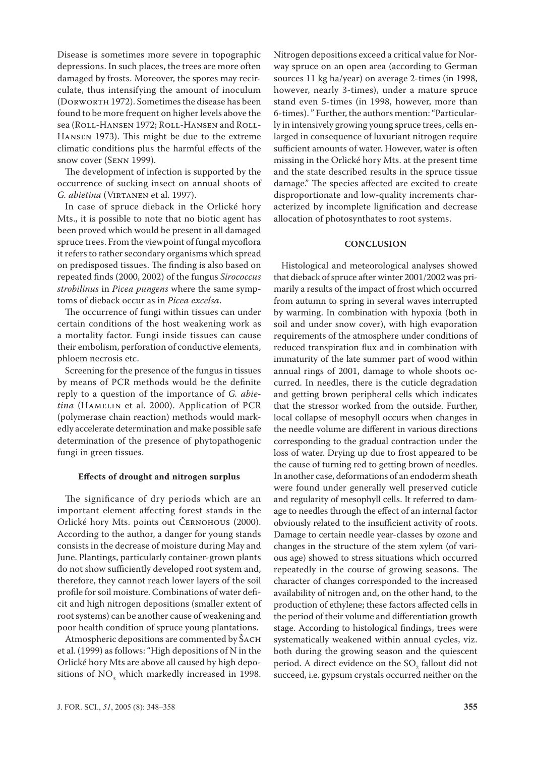Disease is sometimes more severe in topographic depressions. In such places, the trees are more often damaged by frosts. Moreover, the spores may recirculate, thus intensifying the amount of inoculum (DORWORTH 1972). Sometimes the disease has been found to be more frequent on higher levels above the sea (ROLL-HANSEN 1972; ROLL-HANSEN and ROLL-HANSEN 1973). This might be due to the extreme climatic conditions plus the harmful effects of the snow cover (SENN 1999).

The development of infection is supported by the occurrence of sucking insect on annual shoots of *G. abietina* (VIRTANEN et al. 1997).

In case of spruce dieback in the Orlické hory Mts., it is possible to note that no biotic agent has been proved which would be present in all damaged spruce trees. From the viewpoint of fungal mycoflora it refers to rather secondary organisms which spread on predisposed tissues. The finding is also based on repeated finds (2000, 2002) of the fungus *Sirococcus strobilinus* in *Picea pungens* where the same symptoms of dieback occur as in *Picea excelsa*.

The occurrence of fungi within tissues can under certain conditions of the host weakening work as a mortality factor. Fungi inside tissues can cause their embolism, perforation of conductive elements, phloem necrosis etc.

Screening for the presence of the fungus in tissues by means of PCR methods would be the definite reply to a question of the importance of *G. abietina* (HAMELIN et al. 2000). Application of PCR (polymerase chain reaction) methods would markedly accelerate determination and make possible safe determination of the presence of phytopathogenic fungi in green tissues.

#### **Effects of drought and nitrogen surplus**

The significance of dry periods which are an important element affecting forest stands in the Orlické hory Mts. points out ČERNOHOUS (2000). According to the author, a danger for young stands consists in the decrease of moisture during May and June. Plantings, particularly container-grown plants do not show sufficiently developed root system and, therefore, they cannot reach lower layers of the soil profile for soil moisture. Combinations of water deficit and high nitrogen depositions (smaller extent of root systems) can be another cause of weakening and poor health condition of spruce young plantations.

Atmospheric depositions are commented by ŠACH et al. (1999) as follows: "High depositions of N in the Orlické hory Mts are above all caused by high depositions of  $\text{NO}_3$  which markedly increased in 1998.

Nitrogen depositions exceed a critical value for Norway spruce on an open area (according to German sources 11 kg ha/year) on average 2-times (in 1998, however, nearly 3-times), under a mature spruce stand even 5-times (in 1998, however, more than 6-times). " Further, the authors mention: "Particularly in intensively growing young spruce trees, cells enlarged in consequence of luxuriant nitrogen require sufficient amounts of water. However, water is often missing in the Orlické hory Mts. at the present time and the state described results in the spruce tissue damage." The species affected are excited to create disproportionate and low-quality increments characterized by incomplete lignification and decrease allocation of photosynthates to root systems.

#### **CONCLUSION**

Histological and meteorological analyses showed that dieback of spruce after winter 2001/2002 was primarily a results of the impact of frost which occurred from autumn to spring in several waves interrupted by warming. In combination with hypoxia (both in soil and under snow cover), with high evaporation requirements of the atmosphere under conditions of reduced transpiration flux and in combination with immaturity of the late summer part of wood within annual rings of 2001, damage to whole shoots occurred. In needles, there is the cuticle degradation and getting brown peripheral cells which indicates that the stressor worked from the outside. Further, local collapse of mesophyll occurs when changes in the needle volume are different in various directions corresponding to the gradual contraction under the loss of water. Drying up due to frost appeared to be the cause of turning red to getting brown of needles. In another case, deformations of an endoderm sheath were found under generally well preserved cuticle and regularity of mesophyll cells. It referred to damage to needles through the effect of an internal factor obviously related to the insufficient activity of roots. Damage to certain needle year-classes by ozone and changes in the structure of the stem xylem (of various age) showed to stress situations which occurred repeatedly in the course of growing seasons. The character of changes corresponded to the increased availability of nitrogen and, on the other hand, to the production of ethylene; these factors affected cells in the period of their volume and differentiation growth stage. According to histological findings, trees were systematically weakened within annual cycles, viz. both during the growing season and the quiescent period. A direct evidence on the  $SO_2$  fallout did not succeed, i.e. gypsum crystals occurred neither on the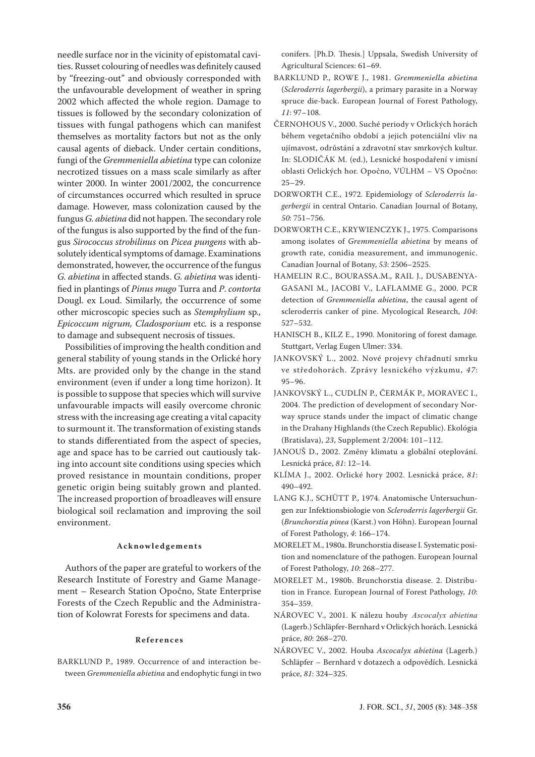needle surface nor in the vicinity of epistomatal cavities. Russet colouring of needles was definitely caused by "freezing-out" and obviously corresponded with the unfavourable development of weather in spring 2002 which affected the whole region. Damage to tissues is followed by the secondary colonization of tissues with fungal pathogens which can manifest themselves as mortality factors but not as the only causal agents of dieback. Under certain conditions, fungi of the *Gremmeniella abietina* type can colonize necrotized tissues on a mass scale similarly as after winter 2000. In winter 2001/2002, the concurrence of circumstances occurred which resulted in spruce damage. However, mass colonization caused by the fungus *G. abietina* did not happen. The secondary role of the fungus is also supported by the find of the fungus *Sirococcus strobilinus* on *Picea pungens* with absolutely identical symptoms of damage. Examinations demonstrated, however, the occurrence of the fungus *G. abietina* in affected stands. *G. abietina* was identified in plantings of *Pinus mugo* Turra and *P*. *contorta* Dougl. ex Loud. Similarly, the occurrence of some other microscopic species such as *Stemphylium* sp*., Epicoccum nigrum, Cladosporium* etc*.* is a response to damage and subsequent necrosis of tissues.

Possibilities of improving the health condition and general stability of young stands in the Orlické hory Mts. are provided only by the change in the stand environment (even if under a long time horizon). It is possible to suppose that species which will survive unfavourable impacts will easily overcome chronic stress with the increasing age creating a vital capacity to surmount it. The transformation of existing stands to stands differentiated from the aspect of species, age and space has to be carried out cautiously taking into account site conditions using species which proved resistance in mountain conditions, proper genetic origin being suitably grown and planted. The increased proportion of broadleaves will ensure biological soil reclamation and improving the soil environment.

#### **Ac k n o w l e d g e m e n t s**

Authors of the paper are grateful to workers of the Research Institute of Forestry and Game Management – Research Station Opočno, State Enterprise Forests of the Czech Republic and the Administration of Kolowrat Forests for specimens and data.

#### **R e f e r e n c e s**

BARKLUND P., 1989. Occurrence of and interaction between *Gremmeniella abietina* and endophytic fungi in two conifers. [Ph.D. Thesis.] Uppsala, Swedish University of Agricultural Sciences: 61–69.

- BARKLUND P., ROWE J., 1981. *Gremmeniella abietina* (*Scleroderris lagerbergii*), a primary parasite in a Norway spruce die-back. European Journal of Forest Pathology, *11*: 97–108.
- ČERNOHOUS V., 2000. Suché periody v Orlických horách během vegetačního období a jejich potenciální vliv na ujímavost, odrůstání a zdravotní stav smrkových kultur. In: SLODIČÁK M. (ed.), Lesnické hospodaření v imisní oblasti Orlických hor. Opočno, VÚLHM – VS Opočno: 25–29.
- DORWORTH C.E., 1972. Epidemiology of *Scleroderris lagerbergii* in central Ontario. Canadian Journal of Botany, *50*: 751–756.
- DORWORTH C.E., KRYWIENCZYK J., 1975. Comparisons among isolates of *Gremmeniella abietina* by means of growth rate, conidia measurement, and immunogenic. Canadian Journal of Botany, *53*: 2506–2525.
- HAMELIN R.C., BOURASSA.M., RAIL J., DUSABENYA-GASANI M., JACOBI V., LAFLAMME G., 2000. PCR detection of *Gremmeniella abietina*, the causal agent of scleroderris canker of pine. Mycological Research, *104*: 527–532.
- HANISCH B., KILZ E., 1990. Monitoring of forest damage*.* Stuttgart, Verlag Eugen Ulmer: 334.
- JANKOVSKÝ L., 2002. Nové projevy chřadnutí smrku ve středohorách. Zprávy lesnického výzkumu, *47*: 95–96.
- JANKOVSKÝ L., CUDLÍN P., ČERMÁK P., MORAVEC I., 2004. The prediction of development of secondary Norway spruce stands under the impact of climatic change in the Drahany Highlands (the Czech Republic). Ekológia (Bratislava), *23*, Supplement 2/2004: 101–112.
- JANOUŠ D., 2002. Změny klimatu a globální oteplování. Lesnická práce, *81*: 12–14.
- KLÍMA J., 2002. Orlické hory 2002. Lesnická práce, *81*: 490–492.
- LANG K.J., SCHÜTT P., 1974. Anatomische Untersuchungen zur Infektionsbiologie von *Scleroderris lagerbergii* Gr. (*Brunchorstia pinea* (Karst.) von Höhn). European Journal of Forest Pathology, *4*: 166–174.
- MORELET M., 1980a. Brunchorstia disease I. Systematic position and nomenclature of the pathogen. European Journal of Forest Pathology, *10*: 268–277.
- MORELET M., 1980b. Brunchorstia disease. 2. Distribution in France. European Journal of Forest Pathology, *10*: 354–359.
- NÁROVEC V., 2001. K nálezu houby *Ascocalyx abietina* (Lagerb.) Schläpfer-Bernhard v Orlických horách. Lesnická práce, *80*: 268–270.
- NÁROVEC V., 2002. Houba *Ascocalyx abietina* (Lagerb*.*) Schläpfer – Bernhard v dotazech a odpovědích. Lesnická práce, *81*: 324–325.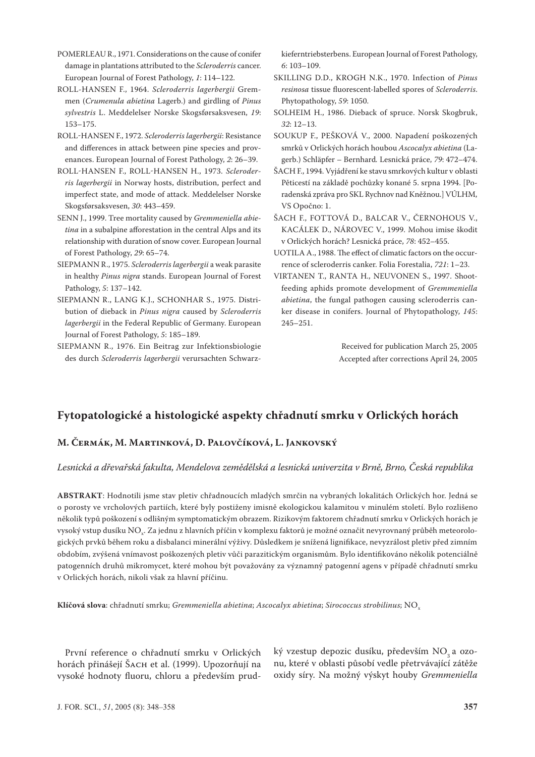POMERLEAU R., 1971. Considerations on the cause of conifer damage in plantations attributed to the *Scleroderris* cancer. European Journal of Forest Pathology, *1*: 114–122.

ROLL-HANSEN F., 1964. *Scleroderris lagerbergii* Gremmen (*Crumenula abietina* Lagerb.) and girdling of *Pinus sylvestris* L. Meddelelser Norske Skogsførsaksvesen, *19*: 153–175.

ROLL-HANSEN F., 1972. *Scleroderris lagerbergii*: Resistance and differences in attack between pine species and provenances. European Journal of Forest Pathology, *2*: 26–39.

- ROLL-HANSEN F., ROLL-HANSEN H., 1973. *Scleroderris lagerbergii* in Norway hosts, distribution, perfect and imperfect state, and mode of attack. Meddelelser Norske Skogsførsaksvesen, *30*: 443–459.
- SENN J., 1999. Tree mortality caused by *Gremmeniella abietina* in a subalpine afforestation in the central Alps and its relationship with duration of snow cover. European Journal of Forest Pathology, *29*: 65–74.
- SIEPMANN R., 1975. *Scleroderris lagerbergii* a weak parasite in healthy *Pinus nigra* stands. European Journal of Forest Pathology, *5*: 137–142.
- SIEPMANN R., LANG K.J., SCHONHAR S., 1975. Distribution of dieback in *Pinus nigra* caused by *Scleroderris lagerbergii* in the Federal Republic of Germany. European Journal of Forest Pathology, *5*: 185–189.
- SIEPMANN R., 1976. Ein Beitrag zur Infektionsbiologie des durch *Scleroderris lagerbergii* verursachten Schwarz-

kieferntriebsterbens. European Journal of Forest Pathology, *6*: 103–109.

- SKILLING D.D., KROGH N.K., 1970. Infection of *Pinus resinosa* tissue fluorescent-labelled spores of *Scleroderris*. Phytopathology, *59*: 1050.
- SOLHEIM H., 1986. Dieback of spruce. Norsk Skogbruk, *32*: 12–13.

SOUKUP F., PEŠKOVÁ V., 2000. Napadení poškozených smrků v Orlických horách houbou *Ascocalyx abietina* (Lagerb.) Schläpfer – Bernhard*.* Lesnická práce, *79*: 472–474.

- ŠACH F., 1994. Vyjádření ke stavu smrkových kultur v oblasti Pěticestí na základě pochůzky konané 5. srpna 1994. [Poradenská zpráva pro SKL Rychnov nad Kněžnou.] VÚLHM, VS Opočno: 1.
- ŠACH F., FOTTOVÁ D., BALCAR V., ČERNOHOUS V., KACÁLEK D., NÁROVEC V., 1999. Mohou imise škodit v Orlických horách? Lesnická práce, *78*: 452–455.
- UOTILA A., 1988. The effect of climatic factors on the occurrence of scleroderris canker. Folia Forestalia, *721*: 1–23.
- VIRTANEN T., RANTA H., NEUVONEN S., 1997. Shootfeeding aphids promote development of *Gremmeniella abietina*, the fungal pathogen causing scleroderris canker disease in conifers. Journal of Phytopathology, *145*: 245–251.

Received for publication March 25, 2005 Accepted after corrections April 24, 2005

# **Fytopatologické a histologické aspekty chřadnutí smrku v Orlických horách**

# **M. ČERMÁK, M. MARTINKOVÁ, D. PALOVČÍKOVÁ, L. JANKOVSKÝ**

# *Lesnická a dřevařská fakulta, Mendelova zemědělská a lesnická univerzita v Brně, Brno, Česká republika*

**ABSTRAKT**: Hodnotili jsme stav pletiv chřadnoucích mladých smrčin na vybraných lokalitách Orlických hor. Jedná se o porosty ve vrcholových partiích, které byly postiženy imisně ekologickou kalamitou v minulém století. Bylo rozlišeno několik typů poškození s odlišným symptomatickým obrazem. Rizikovým faktorem chřadnutí smrku v Orlických horách je vysoký vstup dusíku NO<sub>v</sub>. Za jednu z hlavních příčin v komplexu faktorů je možné označit nevyrovnaný průběh meteorologických prvků během roku a disbalanci minerální výživy. Důsledkem je snížená lignifikace, nevyzrálost pletiv před zimním obdobím, zvýšená vnímavost poškozených pletiv vůči parazitickým organismům. Bylo identifikováno několik potenciálně patogenních druhů mikromycet, které mohou být považovány za významný patogenní agens v případě chřadnutí smrku v Orlických horách, nikoli však za hlavní příčinu.

**Klíčová slova**: chřadnutí smrku; *Gremmeniella abietina*; *Ascocalyx abietina*; *Sirococcus strobilinus*; NOx

První reference o chřadnutí smrku v Orlických horách přinášejí ŠACH et al. (1999). Upozorňují na vysoké hodnoty fluoru, chloru a především prudký vzestup depozic dusíku, především NO<sub>3</sub> a ozonu, které v oblasti působí vedle přetrvávající zátěže oxidy síry. Na možný výskyt houby *Gremmeniella*